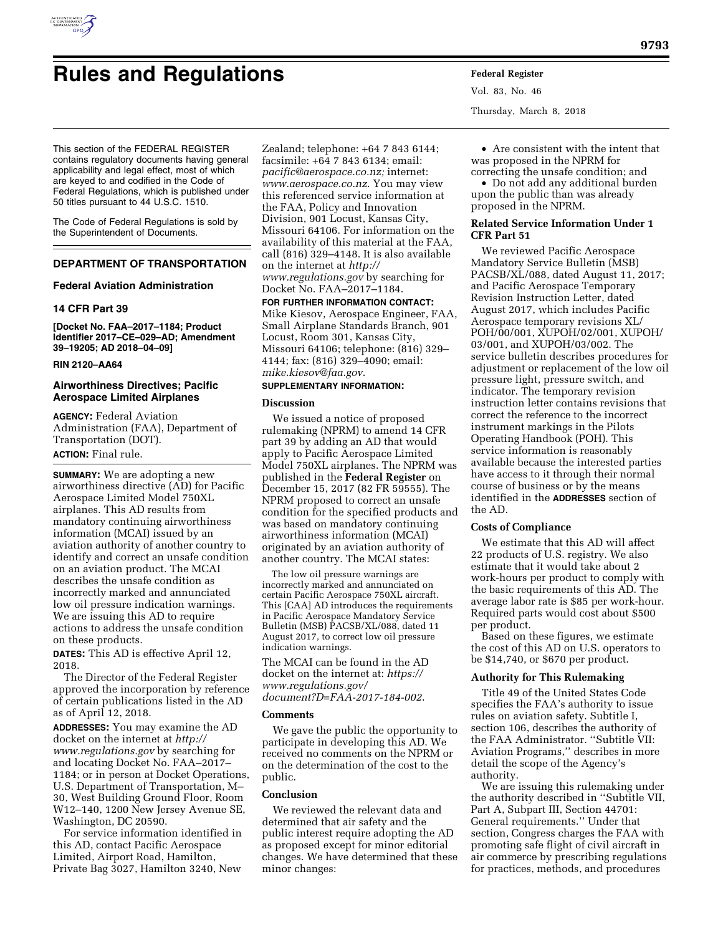

# **Rules and Regulations Federal Register**

This section of the FEDERAL REGISTER contains regulatory documents having general applicability and legal effect, most of which are keyed to and codified in the Code of Federal Regulations, which is published under 50 titles pursuant to 44 U.S.C. 1510.

The Code of Federal Regulations is sold by the Superintendent of Documents.

## **DEPARTMENT OF TRANSPORTATION**

## **Federal Aviation Administration**

## **14 CFR Part 39**

**[Docket No. FAA–2017–1184; Product Identifier 2017–CE–029–AD; Amendment 39–19205; AD 2018–04–09]** 

## **RIN 2120–AA64**

## **Airworthiness Directives; Pacific Aerospace Limited Airplanes**

**AGENCY:** Federal Aviation Administration (FAA), Department of Transportation (DOT). **ACTION:** Final rule.

**SUMMARY:** We are adopting a new airworthiness directive (AD) for Pacific Aerospace Limited Model 750XL airplanes. This AD results from mandatory continuing airworthiness information (MCAI) issued by an aviation authority of another country to identify and correct an unsafe condition on an aviation product. The MCAI describes the unsafe condition as incorrectly marked and annunciated low oil pressure indication warnings. We are issuing this AD to require actions to address the unsafe condition on these products.

**DATES:** This AD is effective April 12, 2018.

The Director of the Federal Register approved the incorporation by reference of certain publications listed in the AD as of April 12, 2018.

**ADDRESSES:** You may examine the AD docket on the internet at *[http://](http://www.regulations.gov) [www.regulations.gov](http://www.regulations.gov)* by searching for and locating Docket No. FAA–2017– 1184; or in person at Docket Operations, U.S. Department of Transportation, M– 30, West Building Ground Floor, Room W12–140, 1200 New Jersey Avenue SE, Washington, DC 20590.

For service information identified in this AD, contact Pacific Aerospace Limited, Airport Road, Hamilton, Private Bag 3027, Hamilton 3240, New

Zealand; telephone: +64 7 843 6144; facsimile: +64 7 843 6134; email: *[pacific@aerospace.co.nz;](mailto:pacific@aerospace.co.nz)* internet: *[www.aerospace.co.nz](http://www.aerospace.co.nz)*. You may view this referenced service information at the FAA, Policy and Innovation Division, 901 Locust, Kansas City, Missouri 64106. For information on the availability of this material at the FAA, call (816) 329–4148. It is also available on the internet at *[http://](http://www.regulations.gov) [www.regulations.gov](http://www.regulations.gov)* by searching for Docket No. FAA–2017–1184.

**FOR FURTHER INFORMATION CONTACT:** 

Mike Kiesov, Aerospace Engineer, FAA, Small Airplane Standards Branch, 901 Locust, Room 301, Kansas City, Missouri 64106; telephone: (816) 329– 4144; fax: (816) 329–4090; email: *[mike.kiesov@faa.gov](mailto:mike.kiesov@faa.gov)*.

#### **SUPPLEMENTARY INFORMATION:**

#### **Discussion**

We issued a notice of proposed rulemaking (NPRM) to amend 14 CFR part 39 by adding an AD that would apply to Pacific Aerospace Limited Model 750XL airplanes. The NPRM was published in the **Federal Register** on December 15, 2017 (82 FR 59555). The NPRM proposed to correct an unsafe condition for the specified products and was based on mandatory continuing airworthiness information (MCAI) originated by an aviation authority of another country. The MCAI states:

The low oil pressure warnings are incorrectly marked and annunciated on certain Pacific Aerospace 750XL aircraft. This [CAA] AD introduces the requirements in Pacific Aerospace Mandatory Service Bulletin (MSB) PACSB/XL/088, dated 11 August 2017, to correct low oil pressure indication warnings.

The MCAI can be found in the AD docket on the internet at: *[https://](https://www.regulations.gov/document?D=FAA-2017-184-002) [www.regulations.gov/](https://www.regulations.gov/document?D=FAA-2017-184-002) [document?D=FAA-2017-184-002](https://www.regulations.gov/document?D=FAA-2017-184-002)*.

#### **Comments**

We gave the public the opportunity to participate in developing this AD. We received no comments on the NPRM or on the determination of the cost to the public.

## **Conclusion**

We reviewed the relevant data and determined that air safety and the public interest require adopting the AD as proposed except for minor editorial changes. We have determined that these minor changes:

Vol. 83, No. 46 Thursday, March 8, 2018

• Are consistent with the intent that was proposed in the NPRM for correcting the unsafe condition; and

• Do not add any additional burden upon the public than was already proposed in the NPRM.

## **Related Service Information Under 1 CFR Part 51**

We reviewed Pacific Aerospace Mandatory Service Bulletin (MSB) PACSB/XL/088, dated August 11, 2017; and Pacific Aerospace Temporary Revision Instruction Letter, dated August 2017, which includes Pacific Aerospace temporary revisions XL/ POH/00/001, XUPOH/02/001, XUPOH/ 03/001, and XUPOH/03/002. The service bulletin describes procedures for adjustment or replacement of the low oil pressure light, pressure switch, and indicator. The temporary revision instruction letter contains revisions that correct the reference to the incorrect instrument markings in the Pilots Operating Handbook (POH). This service information is reasonably available because the interested parties have access to it through their normal course of business or by the means identified in the **ADDRESSES** section of the AD.

## **Costs of Compliance**

We estimate that this AD will affect 22 products of U.S. registry. We also estimate that it would take about 2 work-hours per product to comply with the basic requirements of this AD. The average labor rate is \$85 per work-hour. Required parts would cost about \$500 per product.

Based on these figures, we estimate the cost of this AD on U.S. operators to be \$14,740, or \$670 per product.

#### **Authority for This Rulemaking**

Title 49 of the United States Code specifies the FAA's authority to issue rules on aviation safety. Subtitle I, section 106, describes the authority of the FAA Administrator. ''Subtitle VII: Aviation Programs,'' describes in more detail the scope of the Agency's authority.

We are issuing this rulemaking under the authority described in ''Subtitle VII, Part A, Subpart III, Section 44701: General requirements.'' Under that section, Congress charges the FAA with promoting safe flight of civil aircraft in air commerce by prescribing regulations for practices, methods, and procedures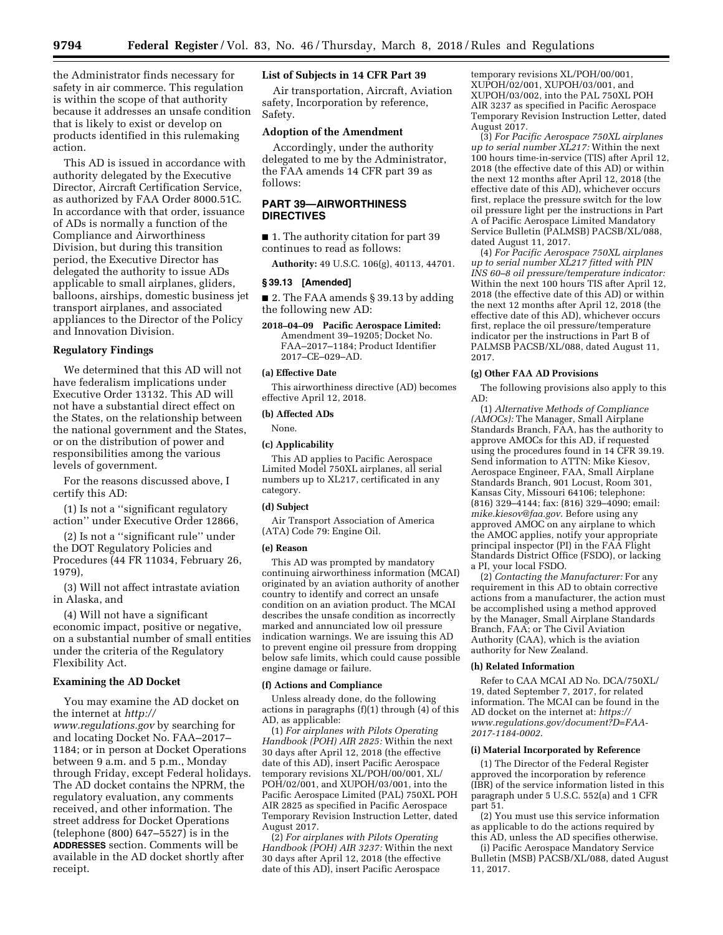the Administrator finds necessary for safety in air commerce. This regulation is within the scope of that authority because it addresses an unsafe condition that is likely to exist or develop on products identified in this rulemaking action.

This AD is issued in accordance with authority delegated by the Executive Director, Aircraft Certification Service, as authorized by FAA Order 8000.51C. In accordance with that order, issuance of ADs is normally a function of the Compliance and Airworthiness Division, but during this transition period, the Executive Director has delegated the authority to issue ADs applicable to small airplanes, gliders, balloons, airships, domestic business jet transport airplanes, and associated appliances to the Director of the Policy and Innovation Division.

## **Regulatory Findings**

We determined that this AD will not have federalism implications under Executive Order 13132. This AD will not have a substantial direct effect on the States, on the relationship between the national government and the States, or on the distribution of power and responsibilities among the various levels of government.

For the reasons discussed above, I certify this AD:

(1) Is not a ''significant regulatory action'' under Executive Order 12866,

(2) Is not a ''significant rule'' under the DOT Regulatory Policies and Procedures (44 FR 11034, February 26, 1979),

(3) Will not affect intrastate aviation in Alaska, and

(4) Will not have a significant economic impact, positive or negative, on a substantial number of small entities under the criteria of the Regulatory Flexibility Act.

## **Examining the AD Docket**

You may examine the AD docket on the internet at *[http://](http://www.regulations.gov) [www.regulations.gov](http://www.regulations.gov)* by searching for and locating Docket No. FAA–2017– 1184; or in person at Docket Operations between 9 a.m. and 5 p.m., Monday through Friday, except Federal holidays. The AD docket contains the NPRM, the regulatory evaluation, any comments received, and other information. The street address for Docket Operations (telephone (800)  $647-5527$  is in the **ADDRESSES** section. Comments will be available in the AD docket shortly after receipt.

## **List of Subjects in 14 CFR Part 39**

Air transportation, Aircraft, Aviation safety, Incorporation by reference, Safety.

## **Adoption of the Amendment**

Accordingly, under the authority delegated to me by the Administrator, the FAA amends 14 CFR part 39 as follows:

## **PART 39—AIRWORTHINESS DIRECTIVES**

■ 1. The authority citation for part 39 continues to read as follows:

**Authority:** 49 U.S.C. 106(g), 40113, 44701.

#### **§ 39.13 [Amended]**

■ 2. The FAA amends § 39.13 by adding the following new AD:

**2018–04–09 Pacific Aerospace Limited:**  Amendment 39–19205; Docket No. FAA–2017–1184; Product Identifier 2017–CE–029–AD.

#### **(a) Effective Date**

This airworthiness directive (AD) becomes effective April 12, 2018.

## **(b) Affected ADs**

None.

## **(c) Applicability**

This AD applies to Pacific Aerospace Limited Model 750XL airplanes, all serial numbers up to XL217, certificated in any category.

## **(d) Subject**

Air Transport Association of America (ATA) Code 79: Engine Oil.

#### **(e) Reason**

This AD was prompted by mandatory continuing airworthiness information (MCAI) originated by an aviation authority of another country to identify and correct an unsafe condition on an aviation product. The MCAI describes the unsafe condition as incorrectly marked and annunciated low oil pressure indication warnings. We are issuing this AD to prevent engine oil pressure from dropping below safe limits, which could cause possible engine damage or failure.

#### **(f) Actions and Compliance**

Unless already done, do the following actions in paragraphs (f)(1) through (4) of this AD, as applicable:

(1) *For airplanes with Pilots Operating Handbook (POH) AIR 2825:* Within the next 30 days after April 12, 2018 (the effective date of this AD), insert Pacific Aerospace temporary revisions XL/POH/00/001, XL/ POH/02/001, and XUPOH/03/001, into the Pacific Aerospace Limited (PAL) 750XL POH AIR 2825 as specified in Pacific Aerospace Temporary Revision Instruction Letter, dated August 2017.

(2) *For airplanes with Pilots Operating Handbook (POH) AIR 3237:* Within the next 30 days after April 12, 2018 (the effective date of this AD), insert Pacific Aerospace

temporary revisions XL/POH/00/001, XUPOH/02/001, XUPOH/03/001, and XUPOH/03/002, into the PAL 750XL POH AIR 3237 as specified in Pacific Aerospace Temporary Revision Instruction Letter, dated August 2017.

(3) *For Pacific Aerospace 750XL airplanes up to serial number XL217:* Within the next 100 hours time-in-service (TIS) after April 12, 2018 (the effective date of this AD) or within the next 12 months after April 12, 2018 (the effective date of this AD), whichever occurs first, replace the pressure switch for the low oil pressure light per the instructions in Part A of Pacific Aerospace Limited Mandatory Service Bulletin (PALMSB) PACSB/XL/088, dated August 11, 2017.

(4) *For Pacific Aerospace 750XL airplanes up to serial number XL217 fitted with PIN INS 60–8 oil pressure/temperature indicator:*  Within the next 100 hours TIS after April 12, 2018 (the effective date of this AD) or within the next 12 months after April 12, 2018 (the effective date of this AD), whichever occurs first, replace the oil pressure/temperature indicator per the instructions in Part B of PALMSB PACSB/XL/088, dated August 11, 2017.

## **(g) Other FAA AD Provisions**

The following provisions also apply to this AD:

(1) *Alternative Methods of Compliance (AMOCs):* The Manager, Small Airplane Standards Branch, FAA, has the authority to approve AMOCs for this AD, if requested using the procedures found in 14 CFR 39.19. Send information to ATTN: Mike Kiesov, Aerospace Engineer, FAA, Small Airplane Standards Branch, 901 Locust, Room 301, Kansas City, Missouri 64106; telephone: (816) 329–4144; fax: (816) 329–4090; email: *[mike.kiesov@faa.gov](mailto:mike.kiesov@faa.gov)*. Before using any approved AMOC on any airplane to which the AMOC applies, notify your appropriate principal inspector (PI) in the FAA Flight Standards District Office (FSDO), or lacking a PI, your local FSDO.

(2) *Contacting the Manufacturer:* For any requirement in this AD to obtain corrective actions from a manufacturer, the action must be accomplished using a method approved by the Manager, Small Airplane Standards Branch, FAA; or The Civil Aviation Authority (CAA), which is the aviation authority for New Zealand.

## **(h) Related Information**

Refer to CAA MCAI AD No. DCA/750XL/ 19, dated September 7, 2017, for related information. The MCAI can be found in the AD docket on the internet at: *[https://](https://www.regulations.gov/document?D=FAA-2017-1184-0002) [www.regulations.gov/document?D=FAA-](https://www.regulations.gov/document?D=FAA-2017-1184-0002)[2017-1184-0002](https://www.regulations.gov/document?D=FAA-2017-1184-0002)*.

#### **(i) Material Incorporated by Reference**

(1) The Director of the Federal Register approved the incorporation by reference (IBR) of the service information listed in this paragraph under 5 U.S.C. 552(a) and 1 CFR part 51.

(2) You must use this service information as applicable to do the actions required by this AD, unless the AD specifies otherwise.

(i) Pacific Aerospace Mandatory Service Bulletin (MSB) PACSB/XL/088, dated August 11, 2017.